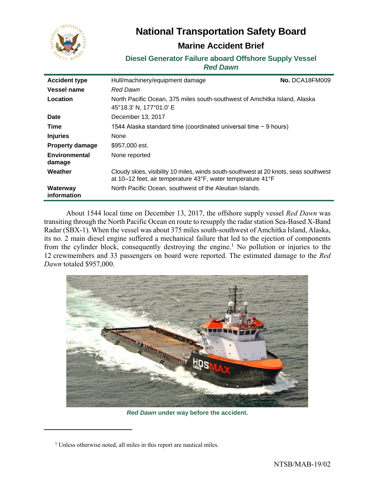

# **National Transportation Safety Board**

# **Marine Accident Brief**

# **Diesel Generator Failure aboard Offshore Supply Vessel** *Red Dawn*

| <b>Accident type</b>    | Hull/machinery/equipment damage                                                                                                                     | No. DCA18FM009 |
|-------------------------|-----------------------------------------------------------------------------------------------------------------------------------------------------|----------------|
| Vessel name             | <b>Red Dawn</b>                                                                                                                                     |                |
| Location                | North Pacific Ocean, 375 miles south-southwest of Amchitka Island, Alaska<br>45°18.3' N, 177°01.0' E                                                |                |
| Date                    | December 13, 2017                                                                                                                                   |                |
| Time                    | 1544 Alaska standard time (coordinated universal time $-9$ hours)                                                                                   |                |
| <b>Injuries</b>         | None                                                                                                                                                |                |
| <b>Property damage</b>  | \$957,000 est.                                                                                                                                      |                |
| Environmental<br>damage | None reported                                                                                                                                       |                |
| Weather                 | Cloudy skies, visibility 10 miles, winds south-southwest at 20 knots, seas southwest<br>at 10-12 feet, air temperature 43°F, water temperature 41°F |                |
| Waterway<br>information | North Pacific Ocean, southwest of the Aleutian Islands.                                                                                             |                |

About 1544 local time on December 13, 2017, the offshore supply vessel *Red Dawn* was transiting through the North Pacific Ocean en route to resupply the radar station Sea-Based X-Band Radar (SBX-1). When the vessel was about 375 miles south-southwest of Amchitka Island, Alaska, its no. 2 main diesel engine suffered a mechanical failure that led to the ejection of components from the cylinder block, consequently destroying the engine.<sup>1</sup> No pollution or injuries to the 12 crewmembers and 33 passengers on board were reported. The estimated damage to the *Red Dawn* totaled \$957,000.



*Red Dawn* **under way before the accident.**

 $\overline{a}$ 

<sup>&</sup>lt;sup>1</sup> Unless otherwise noted, all miles in this report are nautical miles.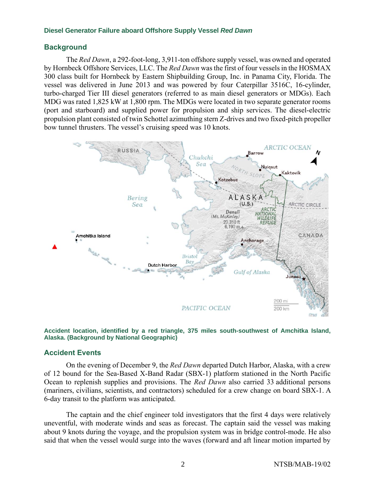### **Background**

The *Red Dawn*, a 292-foot-long, 3,911-ton offshore supply vessel, was owned and operated by Hornbeck Offshore Services, LLC. The *Red Dawn* was the first of four vessels in the HOSMAX 300 class built for Hornbeck by Eastern Shipbuilding Group, Inc. in Panama City, Florida. The vessel was delivered in June 2013 and was powered by four Caterpillar 3516C, 16-cylinder, turbo-charged Tier III diesel generators (referred to as main diesel generators or MDGs). Each MDG was rated 1,825 kW at 1,800 rpm. The MDGs were located in two separate generator rooms (port and starboard) and supplied power for propulsion and ship services. The diesel-electric propulsion plant consisted of twin Schottel azimuthing stern Z-drives and two fixed-pitch propeller bow tunnel thrusters. The vessel's cruising speed was 10 knots.





#### **Accident Events**

On the evening of December 9, the *Red Dawn* departed Dutch Harbor, Alaska, with a crew of 12 bound for the Sea-Based X-Band Radar (SBX-1) platform stationed in the North Pacific Ocean to replenish supplies and provisions. The *Red Dawn* also carried 33 additional persons (mariners, civilians, scientists, and contractors) scheduled for a crew change on board SBX-1. A 6-day transit to the platform was anticipated.

The captain and the chief engineer told investigators that the first 4 days were relatively uneventful, with moderate winds and seas as forecast. The captain said the vessel was making about 9 knots during the voyage, and the propulsion system was in bridge control-mode. He also said that when the vessel would surge into the waves (forward and aft linear motion imparted by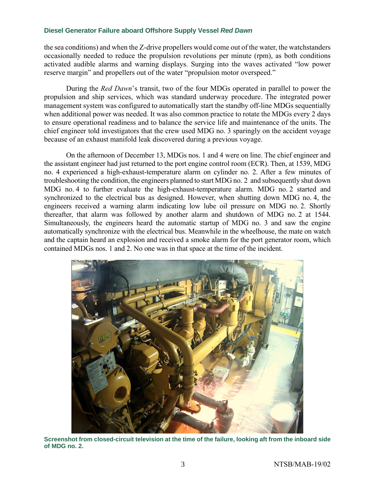the sea conditions) and when the Z-drive propellers would come out of the water, the watchstanders occasionally needed to reduce the propulsion revolutions per minute (rpm), as both conditions activated audible alarms and warning displays. Surging into the waves activated "low power reserve margin" and propellers out of the water "propulsion motor overspeed."

During the *Red Dawn*'s transit, two of the four MDGs operated in parallel to power the propulsion and ship services, which was standard underway procedure. The integrated power management system was configured to automatically start the standby off-line MDGs sequentially when additional power was needed. It was also common practice to rotate the MDGs every 2 days to ensure operational readiness and to balance the service life and maintenance of the units. The chief engineer told investigators that the crew used MDG no. 3 sparingly on the accident voyage because of an exhaust manifold leak discovered during a previous voyage.

On the afternoon of December 13, MDGs nos. 1 and 4 were on line. The chief engineer and the assistant engineer had just returned to the port engine control room (ECR). Then, at 1539, MDG no. 4 experienced a high-exhaust-temperature alarm on cylinder no. 2. After a few minutes of troubleshooting the condition, the engineers planned to start MDG no. 2 and subsequently shut down MDG no. 4 to further evaluate the high-exhaust-temperature alarm. MDG no. 2 started and synchronized to the electrical bus as designed. However, when shutting down MDG no. 4, the engineers received a warning alarm indicating low lube oil pressure on MDG no. 2. Shortly thereafter, that alarm was followed by another alarm and shutdown of MDG no. 2 at 1544. Simultaneously, the engineers heard the automatic startup of MDG no. 3 and saw the engine automatically synchronize with the electrical bus. Meanwhile in the wheelhouse, the mate on watch and the captain heard an explosion and received a smoke alarm for the port generator room, which contained MDGs nos. 1 and 2. No one was in that space at the time of the incident.



**Screenshot from closed-circuit television at the time of the failure, looking aft from the inboard side of MDG no. 2.**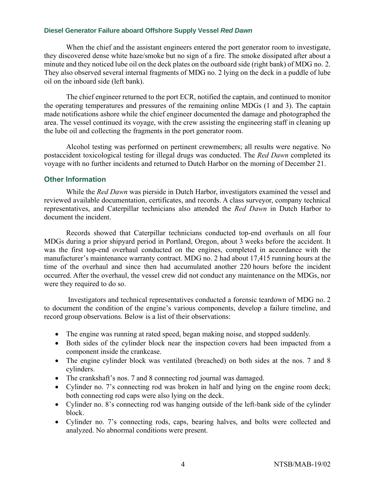When the chief and the assistant engineers entered the port generator room to investigate, they discovered dense white haze/smoke but no sign of a fire. The smoke dissipated after about a minute and they noticed lube oil on the deck plates on the outboard side (right bank) of MDG no. 2. They also observed several internal fragments of MDG no. 2 lying on the deck in a puddle of lube oil on the inboard side (left bank).

The chief engineer returned to the port ECR, notified the captain, and continued to monitor the operating temperatures and pressures of the remaining online MDGs (1 and 3). The captain made notifications ashore while the chief engineer documented the damage and photographed the area. The vessel continued its voyage, with the crew assisting the engineering staff in cleaning up the lube oil and collecting the fragments in the port generator room.

Alcohol testing was performed on pertinent crewmembers; all results were negative. No postaccident toxicological testing for illegal drugs was conducted. The *Red Dawn* completed its voyage with no further incidents and returned to Dutch Harbor on the morning of December 21.

# **Other Information**

While the *Red Dawn* was pierside in Dutch Harbor, investigators examined the vessel and reviewed available documentation, certificates, and records. A class surveyor, company technical representatives, and Caterpillar technicians also attended the *Red Dawn* in Dutch Harbor to document the incident.

Records showed that Caterpillar technicians conducted top-end overhauls on all four MDGs during a prior shipyard period in Portland, Oregon, about 3 weeks before the accident. It was the first top-end overhaul conducted on the engines, completed in accordance with the manufacturer's maintenance warranty contract. MDG no. 2 had about 17,415 running hours at the time of the overhaul and since then had accumulated another 220 hours before the incident occurred. After the overhaul, the vessel crew did not conduct any maintenance on the MDGs, nor were they required to do so.

Investigators and technical representatives conducted a forensic teardown of MDG no. 2 to document the condition of the engine's various components, develop a failure timeline, and record group observations. Below is a list of their observations:

- The engine was running at rated speed, began making noise, and stopped suddenly.
- Both sides of the cylinder block near the inspection covers had been impacted from a component inside the crankcase.
- The engine cylinder block was ventilated (breached) on both sides at the nos. 7 and 8 cylinders.
- The crankshaft's nos. 7 and 8 connecting rod journal was damaged.
- Cylinder no. 7's connecting rod was broken in half and lying on the engine room deck; both connecting rod caps were also lying on the deck.
- Cylinder no. 8's connecting rod was hanging outside of the left-bank side of the cylinder block.
- Cylinder no. 7's connecting rods, caps, bearing halves, and bolts were collected and analyzed. No abnormal conditions were present.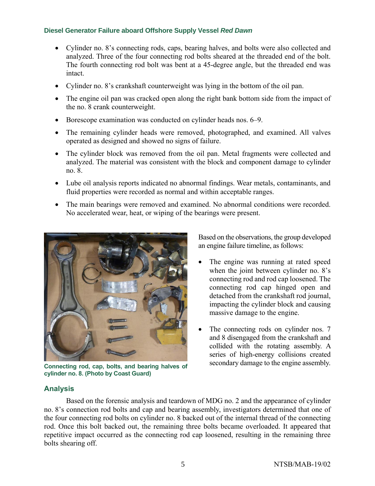- Cylinder no. 8's connecting rods, caps, bearing halves, and bolts were also collected and analyzed. Three of the four connecting rod bolts sheared at the threaded end of the bolt. The fourth connecting rod bolt was bent at a 45-degree angle, but the threaded end was intact.
- Cylinder no. 8's crankshaft counterweight was lying in the bottom of the oil pan.
- The engine oil pan was cracked open along the right bank bottom side from the impact of the no. 8 crank counterweight.
- Borescope examination was conducted on cylinder heads nos. 6–9.
- The remaining cylinder heads were removed, photographed, and examined. All valves operated as designed and showed no signs of failure.
- The cylinder block was removed from the oil pan. Metal fragments were collected and analyzed. The material was consistent with the block and component damage to cylinder no. 8.
- Lube oil analysis reports indicated no abnormal findings. Wear metals, contaminants, and fluid properties were recorded as normal and within acceptable ranges.
- The main bearings were removed and examined. No abnormal conditions were recorded. No accelerated wear, heat, or wiping of the bearings were present.



**Connecting rod, cap, bolts, and bearing halves of cylinder no. 8. (Photo by Coast Guard)**

Based on the observations, the group developed an engine failure timeline, as follows:

- The engine was running at rated speed when the joint between cylinder no. 8's connecting rod and rod cap loosened. The connecting rod cap hinged open and detached from the crankshaft rod journal, impacting the cylinder block and causing massive damage to the engine.
- The connecting rods on cylinder nos. 7 and 8 disengaged from the crankshaft and collided with the rotating assembly. A series of high-energy collisions created secondary damage to the engine assembly.

# **Analysis**

Based on the forensic analysis and teardown of MDG no. 2 and the appearance of cylinder no. 8's connection rod bolts and cap and bearing assembly, investigators determined that one of the four connecting rod bolts on cylinder no. 8 backed out of the internal thread of the connecting rod. Once this bolt backed out, the remaining three bolts became overloaded. It appeared that repetitive impact occurred as the connecting rod cap loosened, resulting in the remaining three bolts shearing off.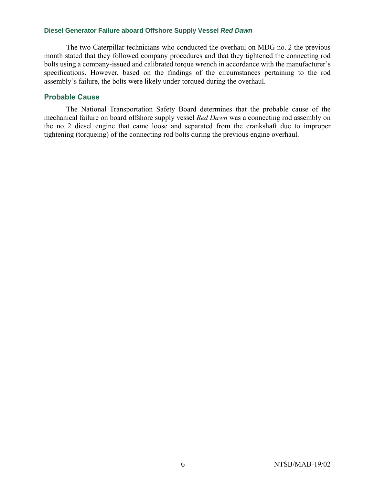The two Caterpillar technicians who conducted the overhaul on MDG no. 2 the previous month stated that they followed company procedures and that they tightened the connecting rod bolts using a company-issued and calibrated torque wrench in accordance with the manufacturer's specifications. However, based on the findings of the circumstances pertaining to the rod assembly's failure, the bolts were likely under-torqued during the overhaul.

# **Probable Cause**

The National Transportation Safety Board determines that the probable cause of the mechanical failure on board offshore supply vessel *Red Dawn* was a connecting rod assembly on the no. 2 diesel engine that came loose and separated from the crankshaft due to improper tightening (torqueing) of the connecting rod bolts during the previous engine overhaul.